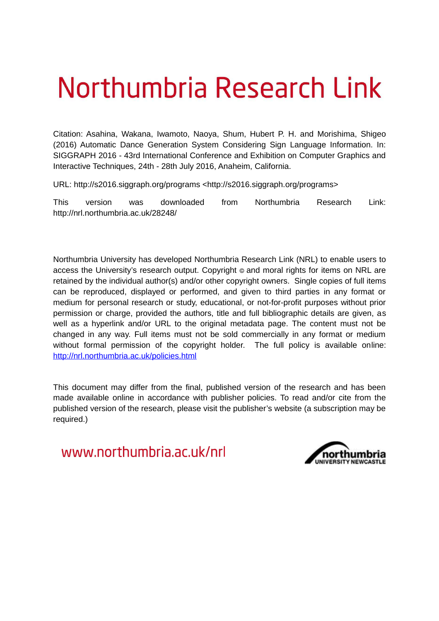# Northumbria Research Link

Citation: Asahina, Wakana, Iwamoto, Naoya, Shum, Hubert P. H. and Morishima, Shigeo (2016) Automatic Dance Generation System Considering Sign Language Information. In: SIGGRAPH 2016 - 43rd International Conference and Exhibition on Computer Graphics and Interactive Techniques, 24th - 28th July 2016, Anaheim, California.

URL: http://s2016.siggraph.org/programs <http://s2016.siggraph.org/programs>

This version was downloaded from Northumbria Research Link: http://nrl.northumbria.ac.uk/28248/

Northumbria University has developed Northumbria Research Link (NRL) to enable users to access the University's research output. Copyright  $\circ$  and moral rights for items on NRL are retained by the individual author(s) and/or other copyright owners. Single copies of full items can be reproduced, displayed or performed, and given to third parties in any format or medium for personal research or study, educational, or not-for-profit purposes without prior permission or charge, provided the authors, title and full bibliographic details are given, as well as a hyperlink and/or URL to the original metadata page. The content must not be changed in any way. Full items must not be sold commercially in any format or medium without formal permission of the copyright holder. The full policy is available online: <http://nrl.northumbria.ac.uk/policies.html>

This document may differ from the final, published version of the research and has been made available online in accordance with publisher policies. To read and/or cite from the published version of the research, please visit the publisher's website (a subscription may be required.)

www.northumbria.ac.uk/nrl

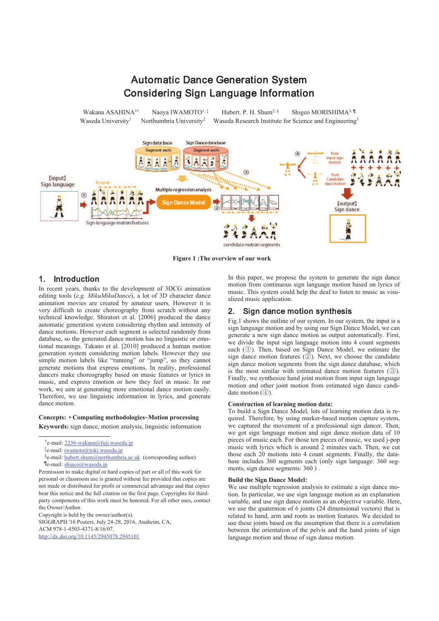

**Figure 1 :The overview of our work**

# 1. Introduction

In recent years, thanks to the development of 3DCG animation editing tools (*e.g. MikuMikuDance*), a lot of 3D character dance animation movies are created by amateur users. However it is very difficult to create choreography from scratch without any technical knowledge. Shiratori et al. [2006] produced the dance automatic generation system considering rhythm and intensity of dance motions. However each segment is selected randomly from database, so the generated dance motion has no linguistic or emotional meanings. Takano et al. [2010] produced a human motion generation system considering motion labels. However they use simple motion labels like "running" or "jump", so they cannot generate motions that express emotions. In reality, professional dancers make choreography based on music features or lyrics in music, and express emotion or how they feel in music. In our work, we aim at generating more emotional dance motion easily. Therefore, we use linguistic information in lyrics, and generate dance motion.

## **Concepts:** • **Computing methodologies~Motion processing**

**Keywords:** sign dance, motion analysis, linguistic information

Copyright is held by the owner/author(s).

SIGGRAPH '16 Posters, July 24-28, 2016, Anaheim, CA, ACM 978-1-4503-4371-8/16/07. http://dx.doi.org/10.1145/2945078.2945101

In this paper, we propose the system to generate the sign dance motion from continuous sign language motion based on lyrics of music. This system could help the deaf to listen to music as visualized music application.

## 2. Sign dance motion synthesis

Fig.1 shows the outline of our system. In our system, the input is a sign language motion and by using our Sign Dance Model, we can generate a new sign dance motion as output automatically. First, we divide the input sign language motion into 4 count segments each (①). Then, based on Sign Dance Model, we estimate the sign dance motion features  $(2)$ . Next, we choose the candidate sign dance motion segments from the sign dance database, which is the most similar with estimated dance motion features  $(③)$ . Finally, we synthesize hand joint motion from input sign language motion and other joint motion from estimated sign dance candidate motion  $(\mathcal{A})$ .

## **Construction of learning motion data:**

To build a Sign Dance Model, lots of learning motion data is required. Therefore, by using marker-based motion capture system, we captured the movement of a professional sign dancer. Then, we got sign language motion and sign dance motion data of 10 pieces of music each. For those ten pieces of music, we used j-pop music with lyrics which is around 2 minutes each. Then, we cut those each 20 motions into 4 count segments. Finally, the database includes 360 segments each (only sign language: 360 segments, sign dance segments: 360 ) .

#### **Build the Sign Dance Model:**

We use multiple regression analysis to estimate a sign dance motion. In particular, we use sign language motion as an explanation variable, and use sign dance motion as an objective variable. Here, we use the quaternion of 6 joints (24 dimensional vectors) that is related to hand, arm and roots as motion features. We decided to use these joints based on the assumption that there is a correlation between the orientation of the pelvis and the hand joints of sign language motion and those of sign dance motion.

<sup>&</sup>lt;sup>†</sup>e-mail: <u>2236-wakana@fuji.waseda.j</u>p

<sup>‡</sup>e-mail: <u>iwamoto@toki.waseda.j</u>p

<sup>§</sup>e-mail: hubert.shum@northumbria.ac.uk (corresponding author) Te-mail: shigeo@waseda.jp

Permission to make digital or hard copies of part or all of this work for personal or classroom use is granted without fee provided that copies are not made or distributed for profit or commercial advantage and that copies bear this notice and the full citation on the first page. Copyrights for thirdparty components of this work must be honored. For all other uses, contact the Owner/Author.